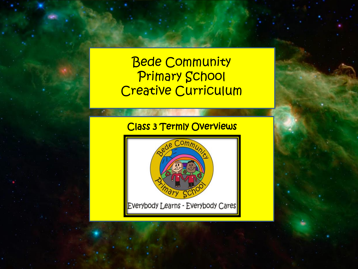# Bede Community Primary School Creative Curriculum

# Class 3 Termly Overviews

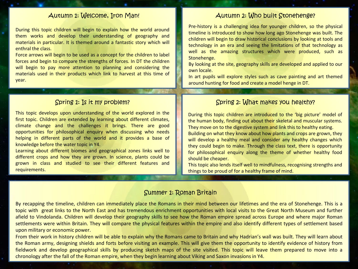During this topic children will begin to explain how the world around them works and develop their understanding of geography and materials in particular. It is themed around a fantastic story which will enthral the class.

Force arrows will begin to be used as a concept for the children to label forces and begin to compare the strengths of forces. In DT the children will begin to pay more attention to planning and considering the materials used in their products which link to harvest at this time of year.

This topic develops upon understanding of the world explored in the first topic. Children are extended by learning about different climates, climate change and the challenges it brings. There are good opportunities for philosophical enquiry when discussing who needs helping in different parts of the world and it provides a base of knowledge before the water topic in Y4.

Learning about different biomes and geographical zones links well to different crops and how they are grown. In science, plants could be grown in class and studied to see their different features and requirements.

#### Autumn 1: Welcome, Iron Man!

Pre-history is a challenging idea for younger children, so the physical timeline is introduced to show how long ago Stonehenge was built. The children will begin to draw historical conclusions by looking at tools and technology in an era and seeing the limitations of that technology as well as the amazing structures which were produced, such as Stonehenge.

By looking at the site, geography skills are developed and applied to our own locale.

In art pupils will explore styles such as cave painting and art themed around hunting for food and create a model henge in DT.

#### Spring 1: Is it my problem? Spring 2: What makes you healthy?

During this topic children are introduced to the 'big picture' model of the human body, finding out about their skeletal and muscular systems. They move on to the digestive system and link this to healthy eating. Building on what they know about how plants and crops are grown, they will develop a healthy meal and consider any healthy changes which

they could begin to make. Through the class text, there is opportunity for philosophical enquiry along the theme of whether healthy food should be cheaper.

This topic also lends itself well to mindfulness, recognising strengths and things to be proud of for a healthy frame of mind.

#### Summer 1: Roman Britain

By recapping the timeline, children can immediately place the Romans in their mind between our lifetimes and the era of Stonehenge. This is a topic with great links to the North East and has tremendous enrichment opportunities with local visits to the Great North Museum and further afield to Vindolanda. Children will develop their geography skills to see how the Roman empire spread across Europe and where major Roman settlements were within Britain. They will compare the physical features within the empire and also identify different types of settlement based upon military or economic power.

From their work in history children will be able to explain why the Romans came to Britain and why Hadrian's wall was built. They will learn about the Roman army, designing shields and forts before visiting an example. This will give them the opportunity to identify evidence of history from fieldwork and develop geographical skills by producing sketch maps of the site visited. This topic will leave them prepared to move into a chronology after the fall of the Roman empire, when they begin learning about Viking and Saxon invasions in Y4.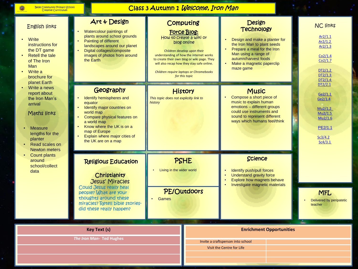$\bullet$ 

#### Class 3 Autumn 1 Welcome, Iron Man

| <b>English links</b><br>Write<br>instructions for<br>the DT game<br><b>Retell the tale</b><br>of The Iron<br><b>Man</b><br>Write a<br>brochure for<br>planet Earth<br>Write a news<br>report about<br>the Iron Man's<br>arrival<br>Maths links<br><b>Measure</b><br>lengths for the<br>planter<br>Read scales on<br><b>Newton meters</b><br>Count plants<br>around<br>school/collect<br>data | Art & Design<br>Watercolour paintings of<br>plants around school grounds<br><b>Painting of different</b><br>landscapes around our planet<br>Digital collages/composite<br>images of photos from around<br>the Earth                               |                                                              | Computing<br><b>Force Blog:</b><br>How to create a wiki or<br>blog online<br>Children develop upon their<br>understanding of how the internet works<br>to create their own blog or wiki page. They<br>will also recap how they stay safe online.<br>Children require laptops or Chromebooks<br>for this topic | Design<br><b>Technology</b><br>Design and make a planter for<br>the Iron Man to plant seeds<br>Prepare a meal for the Iron<br>Man using a range of<br>autumn/harvest foods<br>Make a magnetic paperclip<br>maze game |                                 | <b>NC links</b><br>Ar2/1.1<br>Ar2/1.2<br>Ar2/1.3<br>Co2/1.4<br>Co2/1.7<br>DT2/1.2<br>DT2/1.3<br>DT2/1.4 |
|----------------------------------------------------------------------------------------------------------------------------------------------------------------------------------------------------------------------------------------------------------------------------------------------------------------------------------------------------------------------------------------------|---------------------------------------------------------------------------------------------------------------------------------------------------------------------------------------------------------------------------------------------------|--------------------------------------------------------------|---------------------------------------------------------------------------------------------------------------------------------------------------------------------------------------------------------------------------------------------------------------------------------------------------------------|----------------------------------------------------------------------------------------------------------------------------------------------------------------------------------------------------------------------|---------------------------------|---------------------------------------------------------------------------------------------------------|
|                                                                                                                                                                                                                                                                                                                                                                                              | Geography<br>Identify hemispheres and<br>equator<br>Identify major countries on<br>world map<br>Compare physical features on<br>a world map<br>Know where the UK is on a<br>map of Europe<br>Explain where major cities of<br>the UK are on a map | History<br>This topic does not explicitly link to<br>history |                                                                                                                                                                                                                                                                                                               | <b>Music</b><br>Compose a short piece of<br>music to explain human<br>emotions - different groups<br>could use instruments and<br>sound to represent different<br>ways which humans feel/think                       |                                 | DT2/2.1<br>Ge2/1.1<br>Ge2/1.4<br>Mu2/1.2<br>Mu2/1.5<br>Mu2/1.6<br>PE2/1.1<br>Sc3/4.2<br>Sc4/3.1         |
|                                                                                                                                                                                                                                                                                                                                                                                              | <b>Religious Education</b><br>Christianity<br><b>Jesus' Miracles</b><br>Could Jesus really heal<br>people? What are your<br>thoughts around these<br>miracles? Retell bible stories-<br>did these really happen?                                  | Living in the wider world<br>Games                           | <b>PSHE</b><br><b>PE/Outdoors</b>                                                                                                                                                                                                                                                                             | <b>Science</b><br>Identify push/pull forces<br><b>Understand gravity force</b><br><b>Explore how magnets behave</b><br>Investigate magnetic materials                                                                |                                 | <b>MFL</b><br>Delivered by peripatetic<br>teacher                                                       |
| <b>Key Text (s)</b><br>The Iron Man- Ted Hughes                                                                                                                                                                                                                                                                                                                                              |                                                                                                                                                                                                                                                   |                                                              |                                                                                                                                                                                                                                                                                                               | Invite a craftsperson into school<br>Visit the Centre for Life                                                                                                                                                       | <b>Enrichment Opportunities</b> |                                                                                                         |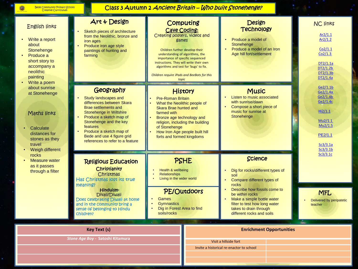$\bullet$ 

## Class 3 Autumn 2 Ancient Britain – Who built Stonehenge?

| <b>English links</b><br>Write a report<br>about<br>Stonehenge<br>Produce a<br>short story to<br>accompany a<br>neolithic<br>painting<br>Write a poem<br>about sunrise<br>at Stonehenge<br>Maths links<br>Calculate<br>distances for<br>stones as they<br>travel<br>$\bullet$<br><b>Weigh different</b><br><b>rocks</b><br><b>Measure water</b><br>$\bullet$<br>as it passes<br>through a filter | Art & Design<br>Sketch pieces of architecture<br>from the Neolithic, bronze and<br>iron ages<br>Produce iron age style<br>paintings of hunting and<br>farming                                                                                                                          | <b>Cave Coding:</b><br>Creating posters, videos and<br>games<br>Children further develop their<br>understanding of algorithms, the<br>importance of specific sequenced<br>instructions. They will write their own<br>algorithms and test for 'bugs' to fix.<br>Children require iPads and BeeBots for this<br>topic | Computing           | Design<br><b>Technology</b><br>Produce a model of<br>Stonehenge<br>Produce a model of an Iron<br>Age hill fort/settlement                                                                                                                                                  |  | <b>NC links</b><br>Ar2/1.1<br>Ar2/1.2<br>Co2/1.1<br>Co2/1.3<br>DT2/1.1a<br>DT2/1.2b<br>DT2/1.3b<br>DT2/1.4a      |
|-------------------------------------------------------------------------------------------------------------------------------------------------------------------------------------------------------------------------------------------------------------------------------------------------------------------------------------------------------------------------------------------------|----------------------------------------------------------------------------------------------------------------------------------------------------------------------------------------------------------------------------------------------------------------------------------------|---------------------------------------------------------------------------------------------------------------------------------------------------------------------------------------------------------------------------------------------------------------------------------------------------------------------|---------------------|----------------------------------------------------------------------------------------------------------------------------------------------------------------------------------------------------------------------------------------------------------------------------|--|------------------------------------------------------------------------------------------------------------------|
|                                                                                                                                                                                                                                                                                                                                                                                                 | Geography<br>Study landscapes and<br>differences between Skara<br><b>Brae settlements and</b><br>Stonehenge in Wiltshire<br>Produce a sketch map of<br>Stonehenge and the key<br>features<br>Produce a sketch map of<br>Bede and use 4 figure grid<br>references to refer to a feature | <b>History</b><br><b>Pre-Roman Britain</b><br>What the Neolithic people of<br>Skara Brae hunted and<br>farmed with<br>Bronze age technology and<br>religion, including the building<br>of Stonehenge<br>How Iron Age people built hill<br>forts and formed kingdoms                                                 |                     | <b>Music</b><br>Listen to music associated<br>with sunrise/dawn<br>Compose a short piece of<br>music for sunrise at<br>Stonehenge                                                                                                                                          |  | Ge2/1.1b<br>Ge2/1.4a<br>Ge2/1.4b<br>Ge2/1.4c<br>Hi2/1.1<br>Mu2/1.1<br>Mu2/1.5<br>PE2/1.1<br>Sc3/3.1a<br>Sc3/3.1b |
|                                                                                                                                                                                                                                                                                                                                                                                                 | <b>Religious Education</b><br>Christianity<br>Christmas<br>Has Christmas lost its true<br>meaning?<br>Hinduism-<br>Divali/Diwali<br>Does celebrating Diwali at home<br>and in the community bring a<br>sense of belonging to Hindu<br>Children?                                        | Health & wellbeing<br><b>Relationships</b><br>Living in the wider world<br>Games<br><b>Gymnastics</b><br>Dig in Forest Area to find<br>soils/rocks                                                                                                                                                                  | PSHE<br>PE/Outdoors | Science<br>Dig for rocks/different types of<br>soil<br>Compare different types of<br><b>rocks</b><br>Describe how fossils come to<br>be within rocks<br>Make a simple bottle water<br>filter to test how long water<br>takes to drain through<br>different rocks and soils |  | Sc3/3.1c<br><b>MFL</b><br>Delivered by peripatetic<br>teacher                                                    |
|                                                                                                                                                                                                                                                                                                                                                                                                 | <b>Key Text (s)</b><br>Stone Age Boy - Satoshi Kitamura                                                                                                                                                                                                                                |                                                                                                                                                                                                                                                                                                                     |                     | <b>Enrichment Opportunities</b><br>Visit a hillside fort<br>Invite a historical re-enactor to school                                                                                                                                                                       |  |                                                                                                                  |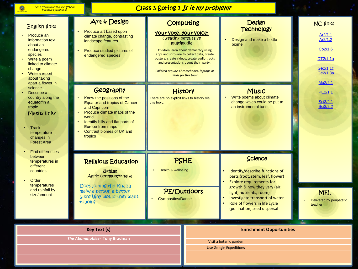## Class 3 Spring 1 Is it my problem?

| <b>English links</b><br>Produce an<br>information text<br>about an<br>endangered<br>species<br>Write a poem<br>linked to climate<br>change<br>Write a report<br>about taking<br>apart a flower in<br>science<br>Describe a<br>country along the<br>equator/in a<br>tropic<br>Maths links<br><b>Track</b><br>temperature<br>changes in<br><b>Forest Area</b><br><b>Find differences</b><br>between<br>temperatures in<br>different<br>countries<br>Order | Art & Design<br>Produce art based upon<br>climate change, contrasting<br>landscape features<br>Produce studied pictures of<br>endangered species                                                                                                                                                                                                          | Your vote, your voice:<br>Creating persuasive<br>multimedia                                                                                                | Computing<br>Children learn about democracy using<br>apps and software to collect data, create<br>posters, create videos, create audio tracks<br>and presentations about their 'party'.<br>Children require Chromebooks, laptops or<br>iPads for this topic | <b>Design</b><br><b>Technology</b><br>Design and make a bottle<br>biome                                                                                    | <b>NC links</b><br>Ar2/1.1<br>Ar2/1.2<br>Co <sub>2</sub> /1.6<br>DT2/1.1a<br>Ge2/1.1c<br>Ge2/1.3a<br>Mu2/2.1 |
|---------------------------------------------------------------------------------------------------------------------------------------------------------------------------------------------------------------------------------------------------------------------------------------------------------------------------------------------------------------------------------------------------------------------------------------------------------|-----------------------------------------------------------------------------------------------------------------------------------------------------------------------------------------------------------------------------------------------------------------------------------------------------------------------------------------------------------|------------------------------------------------------------------------------------------------------------------------------------------------------------|-------------------------------------------------------------------------------------------------------------------------------------------------------------------------------------------------------------------------------------------------------------|------------------------------------------------------------------------------------------------------------------------------------------------------------|--------------------------------------------------------------------------------------------------------------|
|                                                                                                                                                                                                                                                                                                                                                                                                                                                         | Geography<br>Know the positions of the<br><b>Equator and tropics of Cancer</b><br>and Capricorn<br>Produce climate maps of the<br>world<br>Identify hilly and flat parts of<br><b>Europe from maps</b><br><b>Contrast biomes of UK and</b><br>tropics<br><b>Religious Education</b><br><b>Sikhism</b><br>Amrit Ceremony/Khalsa<br>Does joining the Khalsa | History<br>There are no explicit links to history via<br>this topic.<br><b>PSHE</b><br>Health & wellbeing<br><b>PE/Outdoors</b><br><b>Gymnastics/Dance</b> |                                                                                                                                                                                                                                                             | <b>Music</b><br>Write poems about climate<br>change which could be put to<br>an instrumental tune                                                          | PE2/1.1<br>Sci3/2.1<br>Sci3/2.2                                                                              |
|                                                                                                                                                                                                                                                                                                                                                                                                                                                         |                                                                                                                                                                                                                                                                                                                                                           |                                                                                                                                                            |                                                                                                                                                                                                                                                             | <b>Science</b><br>Identify/describe functions of<br>parts (root, stem, leaf, flower)<br><b>Explore requirements for</b>                                    |                                                                                                              |
| temperatures<br>and rainfall by<br>size/amount                                                                                                                                                                                                                                                                                                                                                                                                          | make a person a better<br>Sikh? Why would they want<br>to join?                                                                                                                                                                                                                                                                                           |                                                                                                                                                            |                                                                                                                                                                                                                                                             | growth & how they vary (air,<br>light, nutrients, room)<br>Investigate transport of water<br>Role of flowers in life cycle<br>(pollination, seed dispersal | <b>MFL</b><br>Delivered by peripatetic<br>teacher                                                            |
| <b>Key Text (s)</b><br>The Abominables- Tony Bradman                                                                                                                                                                                                                                                                                                                                                                                                    |                                                                                                                                                                                                                                                                                                                                                           |                                                                                                                                                            |                                                                                                                                                                                                                                                             | <b>Enrichment Opportunities</b>                                                                                                                            |                                                                                                              |
|                                                                                                                                                                                                                                                                                                                                                                                                                                                         |                                                                                                                                                                                                                                                                                                                                                           |                                                                                                                                                            |                                                                                                                                                                                                                                                             | Visit a botanic garden<br><b>Use Google Expeditions</b>                                                                                                    |                                                                                                              |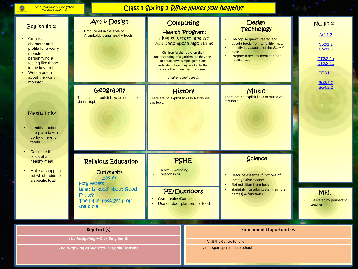6

## Class 3 Spring 2 What makes you healthy?

| <b>English links</b><br>Create a<br>character and<br>profile for a worry<br>monster,<br>personifying a<br>feeling like those<br>in the key text<br>Write a poem<br>about the worry<br>monster<br>Maths links<br><b>Identify fractions</b><br>of a plate taken<br>up by different<br>foods | Art & Design<br>Produce art in the style of<br>Arcimboldo using healthy foods                                                                              |                                                                                                                                                                                                                           | <b>Design</b><br>Computing<br><b>Technology</b><br><b>Health Program:</b><br>How to create, analyse<br>Recognise grown, reared and<br>and decompose algorithms<br>caught foods from a healthy meal<br>Identify key aspects of the Eatwell<br>plate<br>Children further develop their<br>Prepare a healthy meal/part of a<br>understanding of algorithms as they seek<br>healthy meal<br>to break down simple games and<br>understand how they work - to then<br>create their own 'healthy' game.<br>Children require iPads |                                                                                                                                                                |                                 | <b>NC links</b><br>Ar2/1.3<br>Co2/1.2<br>Co2/1.3<br>DT2/2.1a<br>DT2/2.1c<br>PE2/1.1<br>Sci3/2.2 |
|-------------------------------------------------------------------------------------------------------------------------------------------------------------------------------------------------------------------------------------------------------------------------------------------|------------------------------------------------------------------------------------------------------------------------------------------------------------|---------------------------------------------------------------------------------------------------------------------------------------------------------------------------------------------------------------------------|----------------------------------------------------------------------------------------------------------------------------------------------------------------------------------------------------------------------------------------------------------------------------------------------------------------------------------------------------------------------------------------------------------------------------------------------------------------------------------------------------------------------------|----------------------------------------------------------------------------------------------------------------------------------------------------------------|---------------------------------|-------------------------------------------------------------------------------------------------|
|                                                                                                                                                                                                                                                                                           | Geography<br>There are no explicit links to geography<br>via this topic.                                                                                   | <b>History</b><br>There are no explicit links to history via<br>this topic.<br>PSHE<br>Health & wellbeing<br><b>Relationships</b><br>PE/Outdoors<br><b>Gymnastics/Dance</b><br>Use outdoor planters for food<br>$\bullet$ |                                                                                                                                                                                                                                                                                                                                                                                                                                                                                                                            | <b>Music</b><br>There are no explicit links to music via<br>this topic.                                                                                        |                                 | Sci4/2.2                                                                                        |
| Calculate the<br>costs of a<br>healthy meal<br>Make a shopping<br>list which adds to<br>a specific total                                                                                                                                                                                  | <b>Religious Education</b><br>Christianity<br>Easter<br><b>Forgiveness</b><br>What is 'good' about Good<br>Friday?<br>The bible-passages from<br>the bible |                                                                                                                                                                                                                           |                                                                                                                                                                                                                                                                                                                                                                                                                                                                                                                            | Science<br>Describe essential functions of<br>the digestive system<br><b>Get nutrition from food</b><br>Skeletal/muscular system (simple<br>names) & functions |                                 | <b>MFL</b><br>Delivered by peripatetic<br>teacher                                               |
| <b>Key Text (s)</b><br>The Hodgeheg - Dick King Smith<br>The Huge Bag of Worries- Virginia Ironside                                                                                                                                                                                       |                                                                                                                                                            |                                                                                                                                                                                                                           |                                                                                                                                                                                                                                                                                                                                                                                                                                                                                                                            | Visit the Centre for Life<br>Invite a sportsperson into school                                                                                                 | <b>Enrichment Opportunities</b> |                                                                                                 |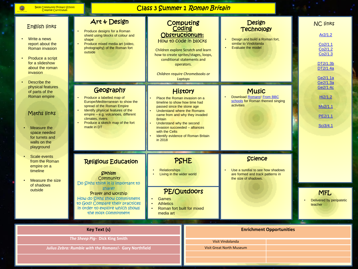6

# Class 3 Summer 1 Roman Britain

| <b>English links</b><br>Write a news<br>report about the<br><b>Roman invasion</b><br>Produce a script<br>for a slideshow<br>about the roman<br><i>invasion</i><br>Describe the<br>physical features<br>of parts of the<br>Roman empire<br>Maths links<br>Measure the<br>space needed<br>for turrets and | Art & Design<br>Produce designs for a Roman<br>shield using blocks of colour and<br>shape<br>Produce mixed media art (video,<br>photography) of the Roman fort<br>outside<br>Geography<br>Produce a labelled map of<br>Europe/Mediterranean to show the<br>spread of the Roman Empire<br>Identify physical features of the<br>empire - e.g. volcanoes, different<br>climates, rivers<br>Produce a sketch map of the fort<br>made in DT | Coding<br>How to code in blocks<br>Place the Roman invasion on a<br>timeline to show how time had<br>passed since the stone age<br><b>Understand where the Romans</b><br>came from and why they invaded<br><b>Britain</b><br>Understand why the second<br>invasion succeeded - alliances<br>with the Celts<br>in 2018 | Computing<br>Obstructionum:<br>Children explore Scratch and learn<br>how to create sprites/stages, loops,<br>conditional statements and<br>operators.<br>Children require Chromebooks or<br>Laptops<br><b>History</b><br>Identify evidence of Roman Britain | <b>Design</b><br><b>Technology</b><br>Design and build a Roman fort,<br>similar to Vindolanda<br><b>Evaluate the model</b><br><b>Music</b><br>Download Romans! From BBC<br>schools for Roman themed singing<br>activities |                                 | <b>NC links</b><br>Ar2/1.2<br>Co2/1.1<br>Co2/1.2<br>Co <sub>2</sub> /1.3<br>DT2/1.3b<br>DT2/1.4a<br>Ge2/1.1a<br>Ge2/1.3a<br>Ge2/1.4c<br>Hi2/1.2<br>Mu <sub>2</sub> /1.1<br>PE2/1.1<br>Sci3/4.1 |  |
|---------------------------------------------------------------------------------------------------------------------------------------------------------------------------------------------------------------------------------------------------------------------------------------------------------|----------------------------------------------------------------------------------------------------------------------------------------------------------------------------------------------------------------------------------------------------------------------------------------------------------------------------------------------------------------------------------------------------------------------------------------|-----------------------------------------------------------------------------------------------------------------------------------------------------------------------------------------------------------------------------------------------------------------------------------------------------------------------|-------------------------------------------------------------------------------------------------------------------------------------------------------------------------------------------------------------------------------------------------------------|---------------------------------------------------------------------------------------------------------------------------------------------------------------------------------------------------------------------------|---------------------------------|------------------------------------------------------------------------------------------------------------------------------------------------------------------------------------------------|--|
| playground<br><b>Scale events</b><br>from the Roman<br>empire on a<br>timeline<br>Measure the size<br>of shadows<br>outside                                                                                                                                                                             | <b>Religious Education</b><br><b>Sikhism</b><br>Community<br>Do Sikhs think it is important to<br>share?<br>Prayer and worship<br>How do Sikhs show commitment<br>to God? Compare their practices<br>in order to explore which shows<br>the most commitment                                                                                                                                                                            | <b>Relationships</b><br>Living in the wider world<br>Games<br><b>Athletics</b><br>$\bullet$<br>Roman fort built for mixed<br>media art                                                                                                                                                                                | <b>PSHE</b><br><b>PE/Outdoors</b>                                                                                                                                                                                                                           | <b>Science</b><br>Use a sundial to see how shadows<br>are formed and track patterns in<br>the size of shadows.                                                                                                            |                                 | <b>MFL</b><br>Delivered by peripatetic<br>teacher                                                                                                                                              |  |
| <b>Key Text (s)</b><br>The Sheep Pig- Dick King Smith<br>Julius Zebra: Rumble with the Romans!- Gary Northfield                                                                                                                                                                                         |                                                                                                                                                                                                                                                                                                                                                                                                                                        |                                                                                                                                                                                                                                                                                                                       |                                                                                                                                                                                                                                                             | Visit Vindolanda<br><b>Visit Great North Museum</b>                                                                                                                                                                       | <b>Enrichment Opportunities</b> |                                                                                                                                                                                                |  |